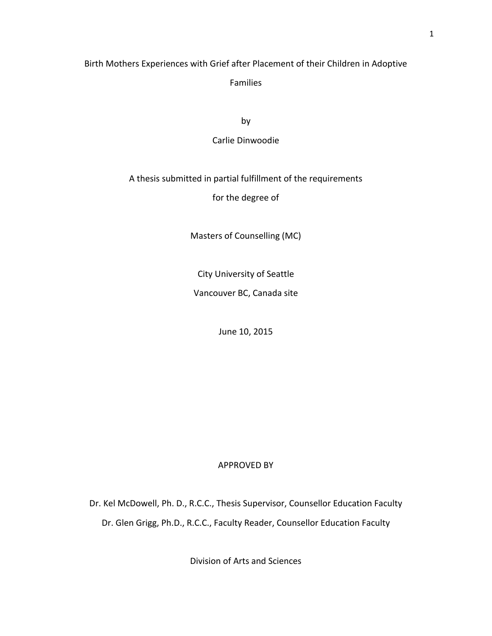# Birth Mothers Experiences with Grief after Placement of their Children in Adoptive

Families

by

Carlie Dinwoodie

## A thesis submitted in partial fulfillment of the requirements

for the degree of

Masters of Counselling (MC)

City University of Seattle

Vancouver BC, Canada site

June 10, 2015

## APPROVED BY

Dr. Kel McDowell, Ph. D., R.C.C., Thesis Supervisor, Counsellor Education Faculty Dr. Glen Grigg, Ph.D., R.C.C., Faculty Reader, Counsellor Education Faculty

Division of Arts and Sciences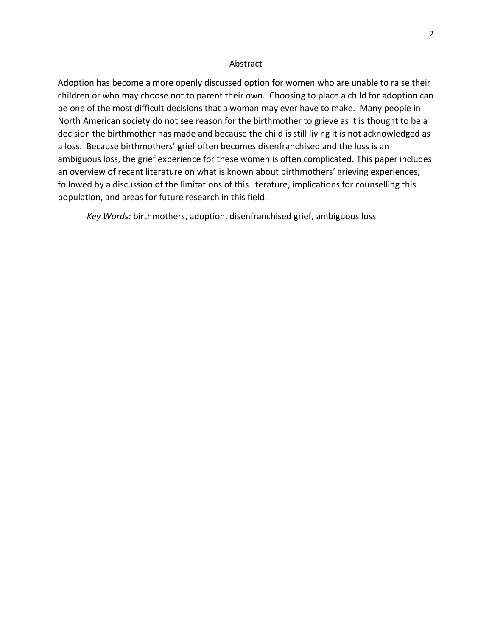### Abstract

Adoption has become a more openly discussed option for women who are unable to raise their children or who may choose not to parent their own. Choosing to place a child for adoption can be one of the most difficult decisions that a woman may ever have to make. Many people in North American society do not see reason for the birthmother to grieve as it is thought to be a decision the birthmother has made and because the child is still living it is not acknowledged as a loss. Because birthmothers' grief often becomes disenfranchised and the loss is an ambiguous loss, the grief experience for these women is often complicated. This paper includes an overview of recent literature on what is known about birthmothers' grieving experiences, followed by a discussion of the limitations of this literature, implications for counselling this population, and areas for future research in this field.

*Key Words:* birthmothers, adoption, disenfranchised grief, ambiguous loss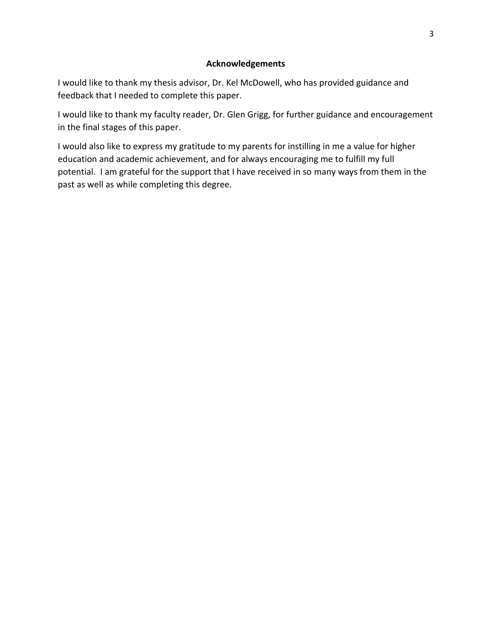## **Acknowledgements**

I would like to thank my thesis advisor, Dr. Kel McDowell, who has provided guidance and feedback that I needed to complete this paper.

I would like to thank my faculty reader, Dr. Glen Grigg, for further guidance and encouragement in the final stages of this paper.

I would also like to express my gratitude to my parents for instilling in me a value for higher education and academic achievement, and for always encouraging me to fulfill my full potential. I am grateful for the support that I have received in so many ways from them in the past as well as while completing this degree.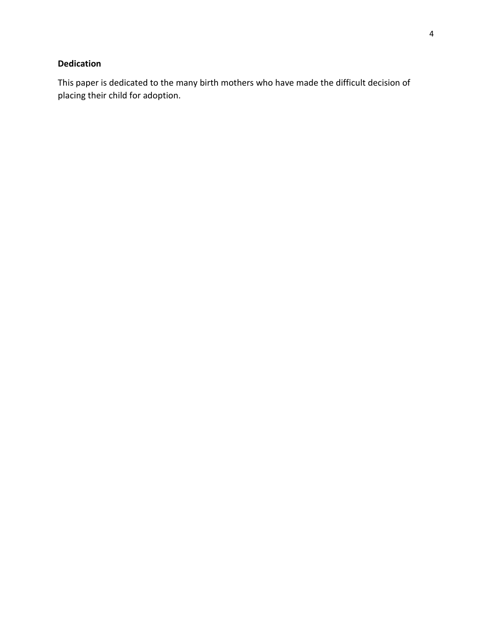# **Dedication**

This paper is dedicated to the many birth mothers who have made the difficult decision of placing their child for adoption.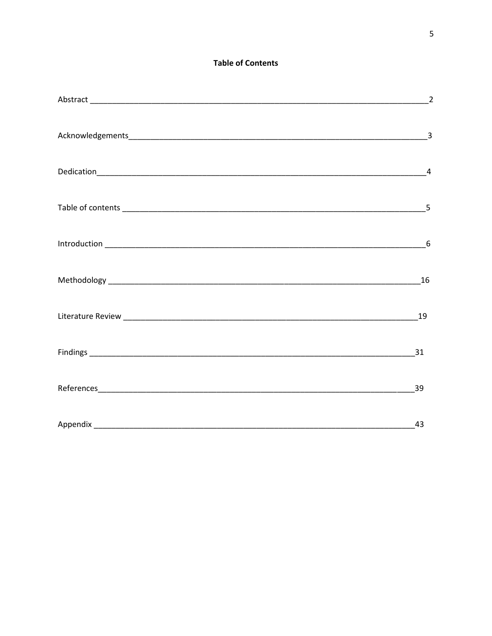## **Table of Contents**

| $\overline{2}$ |
|----------------|
|                |
|                |
|                |
|                |
|                |
| 19             |
| 31             |
| 39             |
| 43             |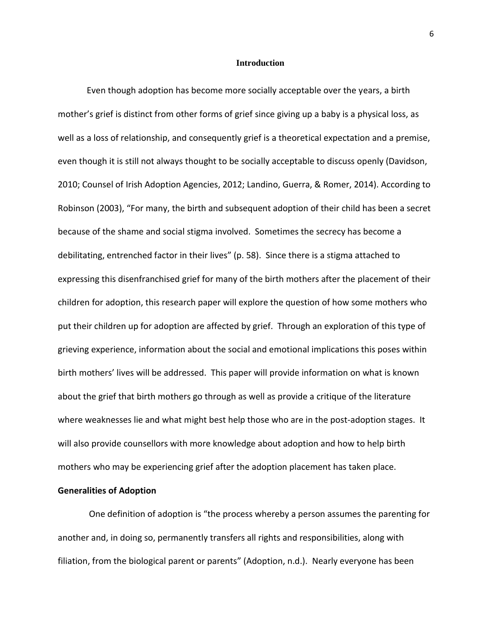#### **Introduction**

Even though adoption has become more socially acceptable over the years, a birth mother's grief is distinct from other forms of grief since giving up a baby is a physical loss, as well as a loss of relationship, and consequently grief is a theoretical expectation and a premise, even though it is still not always thought to be socially acceptable to discuss openly (Davidson, 2010; Counsel of Irish Adoption Agencies, 2012; Landino, Guerra, & Romer, 2014). According to Robinson (2003), "For many, the birth and subsequent adoption of their child has been a secret because of the shame and social stigma involved. Sometimes the secrecy has become a debilitating, entrenched factor in their lives" (p. 58). Since there is a stigma attached to expressing this disenfranchised grief for many of the birth mothers after the placement of their children for adoption, this research paper will explore the question of how some mothers who put their children up for adoption are affected by grief. Through an exploration of this type of grieving experience, information about the social and emotional implications this poses within birth mothers' lives will be addressed. This paper will provide information on what is known about the grief that birth mothers go through as well as provide a critique of the literature where weaknesses lie and what might best help those who are in the post-adoption stages. It will also provide counsellors with more knowledge about adoption and how to help birth mothers who may be experiencing grief after the adoption placement has taken place.

## **Generalities of Adoption**

One definition of adoption is "the process whereby a person assumes the parenting for another and, in doing so, permanently transfers all rights and responsibilities, along with filiation, from the biological parent or parents" (Adoption, n.d.). Nearly everyone has been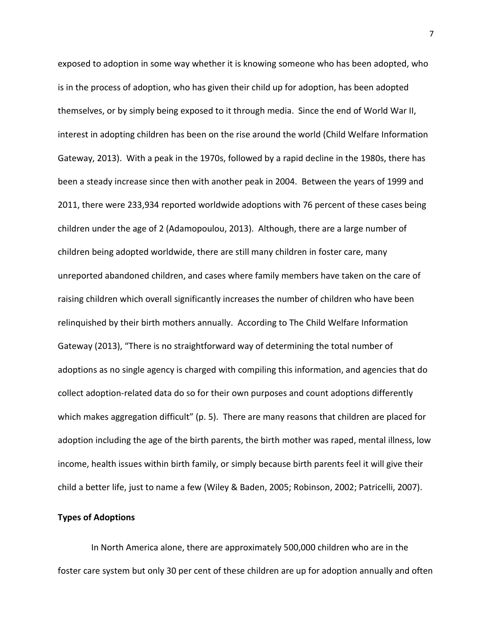exposed to adoption in some way whether it is knowing someone who has been adopted, who is in the process of adoption, who has given their child up for adoption, has been adopted themselves, or by simply being exposed to it through media. Since the end of World War II, interest in adopting children has been on the rise around the world (Child Welfare Information Gateway, 2013). With a peak in the 1970s, followed by a rapid decline in the 1980s, there has been a steady increase since then with another peak in 2004. Between the years of 1999 and 2011, there were 233,934 reported worldwide adoptions with 76 percent of these cases being children under the age of 2 (Adamopoulou, 2013). Although, there are a large number of children being adopted worldwide, there are still many children in foster care, many unreported abandoned children, and cases where family members have taken on the care of raising children which overall significantly increases the number of children who have been relinquished by their birth mothers annually. According to The Child Welfare Information Gateway (2013), "There is no straightforward way of determining the total number of adoptions as no single agency is charged with compiling this information, and agencies that do collect adoption-related data do so for their own purposes and count adoptions differently which makes aggregation difficult" (p. 5). There are many reasons that children are placed for adoption including the age of the birth parents, the birth mother was raped, mental illness, low income, health issues within birth family, or simply because birth parents feel it will give their child a better life, just to name a few (Wiley & Baden, 2005; Robinson, 2002; Patricelli, 2007).

## **Types of Adoptions**

 In North America alone, there are approximately 500,000 children who are in the foster care system but only 30 per cent of these children are up for adoption annually and often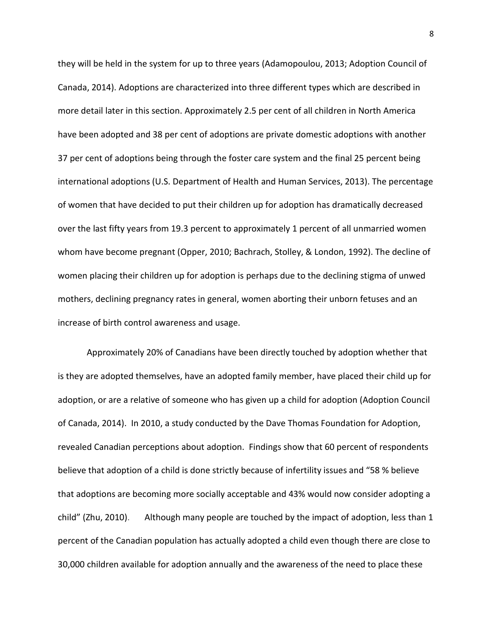they will be held in the system for up to three years (Adamopoulou, 2013; Adoption Council of Canada, 2014). Adoptions are characterized into three different types which are described in more detail later in this section. Approximately 2.5 per cent of all children in North America have been adopted and 38 per cent of adoptions are private domestic adoptions with another 37 per cent of adoptions being through the foster care system and the final 25 percent being international adoptions (U.S. Department of Health and Human Services, 2013). The percentage of women that have decided to put their children up for adoption has dramatically decreased over the last fifty years from 19.3 percent to approximately 1 percent of all unmarried women whom have become pregnant (Opper, 2010; Bachrach, Stolley, & London, 1992). The decline of women placing their children up for adoption is perhaps due to the declining stigma of unwed mothers, declining pregnancy rates in general, women aborting their unborn fetuses and an increase of birth control awareness and usage.

Approximately 20% of Canadians have been directly touched by adoption whether that is they are adopted themselves, have an adopted family member, have placed their child up for adoption, or are a relative of someone who has given up a child for adoption (Adoption Council of Canada, 2014). In 2010, a study conducted by the Dave Thomas Foundation for Adoption, revealed Canadian perceptions about adoption. Findings show that 60 percent of respondents believe that adoption of a child is done strictly because of infertility issues and "58 % believe that adoptions are becoming more socially acceptable and 43% would now consider adopting a child" (Zhu, 2010). Although many people are touched by the impact of adoption, less than 1 percent of the Canadian population has actually adopted a child even though there are close to 30,000 children available for adoption annually and the awareness of the need to place these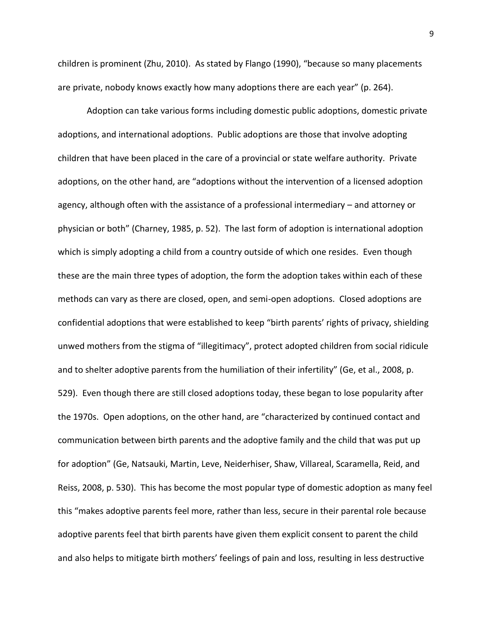children is prominent (Zhu, 2010). As stated by Flango (1990), "because so many placements are private, nobody knows exactly how many adoptions there are each year" (p. 264).

Adoption can take various forms including domestic public adoptions, domestic private adoptions, and international adoptions. Public adoptions are those that involve adopting children that have been placed in the care of a provincial or state welfare authority. Private adoptions, on the other hand, are "adoptions without the intervention of a licensed adoption agency, although often with the assistance of a professional intermediary – and attorney or physician or both" (Charney, 1985, p. 52). The last form of adoption is international adoption which is simply adopting a child from a country outside of which one resides. Even though these are the main three types of adoption, the form the adoption takes within each of these methods can vary as there are closed, open, and semi-open adoptions. Closed adoptions are confidential adoptions that were established to keep "birth parents' rights of privacy, shielding unwed mothers from the stigma of "illegitimacy", protect adopted children from social ridicule and to shelter adoptive parents from the humiliation of their infertility" (Ge, et al., 2008, p. 529). Even though there are still closed adoptions today, these began to lose popularity after the 1970s. Open adoptions, on the other hand, are "characterized by continued contact and communication between birth parents and the adoptive family and the child that was put up for adoption" (Ge, Natsauki, Martin, Leve, Neiderhiser, Shaw, Villareal, Scaramella, Reid, and Reiss, 2008, p. 530). This has become the most popular type of domestic adoption as many feel this "makes adoptive parents feel more, rather than less, secure in their parental role because adoptive parents feel that birth parents have given them explicit consent to parent the child and also helps to mitigate birth mothers' feelings of pain and loss, resulting in less destructive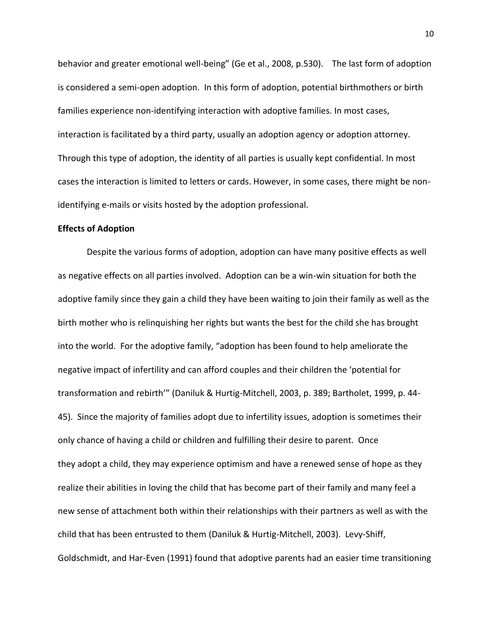behavior and greater emotional well-being" (Ge et al., 2008, p.530). The last form of adoption is considered a semi-open adoption. In this form of adoption, potential birthmothers or birth families experience non-identifying interaction with adoptive families. In most cases, interaction is facilitated by a third party, usually an adoption agency or adoption attorney. Through this type of adoption, the identity of all parties is usually kept confidential. In most cases the interaction is limited to letters or cards. However, in some cases, there might be nonidentifying e-mails or visits hosted by the adoption professional.

### **Effects of Adoption**

Despite the various forms of adoption, adoption can have many positive effects as well as negative effects on all parties involved. Adoption can be a win-win situation for both the adoptive family since they gain a child they have been waiting to join their family as well as the birth mother who is relinquishing her rights but wants the best for the child she has brought into the world. For the adoptive family, "adoption has been found to help ameliorate the negative impact of infertility and can afford couples and their children the 'potential for transformation and rebirth'" (Daniluk & Hurtig-Mitchell, 2003, p. 389; Bartholet, 1999, p. 44- 45). Since the majority of families adopt due to infertility issues, adoption is sometimes their only chance of having a child or children and fulfilling their desire to parent. Once they adopt a child, they may experience optimism and have a renewed sense of hope as they realize their abilities in loving the child that has become part of their family and many feel a new sense of attachment both within their relationships with their partners as well as with the child that has been entrusted to them (Daniluk & Hurtig-Mitchell, 2003). Levy-Shiff, Goldschmidt, and Har-Even (1991) found that adoptive parents had an easier time transitioning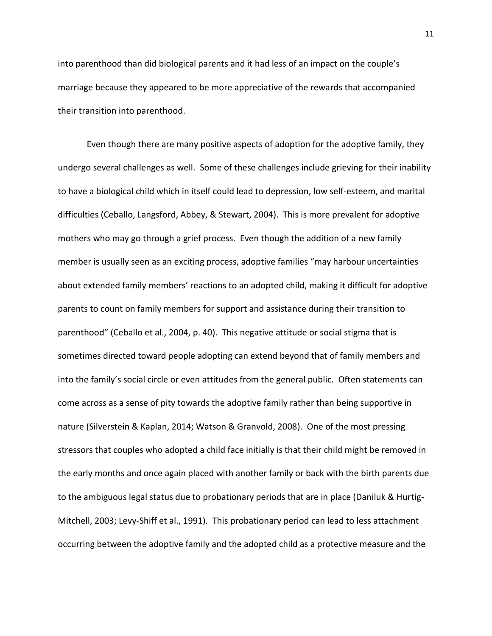into parenthood than did biological parents and it had less of an impact on the couple's marriage because they appeared to be more appreciative of the rewards that accompanied their transition into parenthood.

Even though there are many positive aspects of adoption for the adoptive family, they undergo several challenges as well. Some of these challenges include grieving for their inability to have a biological child which in itself could lead to depression, low self-esteem, and marital difficulties (Ceballo, Langsford, Abbey, & Stewart, 2004). This is more prevalent for adoptive mothers who may go through a grief process. Even though the addition of a new family member is usually seen as an exciting process, adoptive families "may harbour uncertainties about extended family members' reactions to an adopted child, making it difficult for adoptive parents to count on family members for support and assistance during their transition to parenthood" (Ceballo et al., 2004, p. 40). This negative attitude or social stigma that is sometimes directed toward people adopting can extend beyond that of family members and into the family's social circle or even attitudes from the general public. Often statements can come across as a sense of pity towards the adoptive family rather than being supportive in nature (Silverstein & Kaplan, 2014; Watson & Granvold, 2008). One of the most pressing stressors that couples who adopted a child face initially is that their child might be removed in the early months and once again placed with another family or back with the birth parents due to the ambiguous legal status due to probationary periods that are in place (Daniluk & Hurtig-Mitchell, 2003; Levy-Shiff et al., 1991). This probationary period can lead to less attachment occurring between the adoptive family and the adopted child as a protective measure and the

11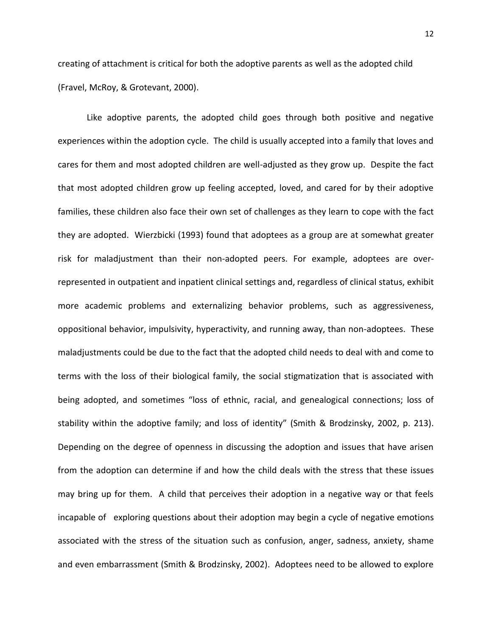creating of attachment is critical for both the adoptive parents as well as the adopted child (Fravel, McRoy, & Grotevant, 2000).

Like adoptive parents, the adopted child goes through both positive and negative experiences within the adoption cycle. The child is usually accepted into a family that loves and cares for them and most adopted children are well-adjusted as they grow up. Despite the fact that most adopted children grow up feeling accepted, loved, and cared for by their adoptive families, these children also face their own set of challenges as they learn to cope with the fact they are adopted. Wierzbicki (1993) found that adoptees as a group are at somewhat greater risk for maladjustment than their non-adopted peers. For example, adoptees are overrepresented in outpatient and inpatient clinical settings and, regardless of clinical status, exhibit more academic problems and externalizing behavior problems, such as aggressiveness, oppositional behavior, impulsivity, hyperactivity, and running away, than non-adoptees. These maladjustments could be due to the fact that the adopted child needs to deal with and come to terms with the loss of their biological family, the social stigmatization that is associated with being adopted, and sometimes "loss of ethnic, racial, and genealogical connections; loss of stability within the adoptive family; and loss of identity" (Smith & Brodzinsky, 2002, p. 213). Depending on the degree of openness in discussing the adoption and issues that have arisen from the adoption can determine if and how the child deals with the stress that these issues may bring up for them. A child that perceives their adoption in a negative way or that feels incapable of exploring questions about their adoption may begin a cycle of negative emotions associated with the stress of the situation such as confusion, anger, sadness, anxiety, shame and even embarrassment (Smith & Brodzinsky, 2002). Adoptees need to be allowed to explore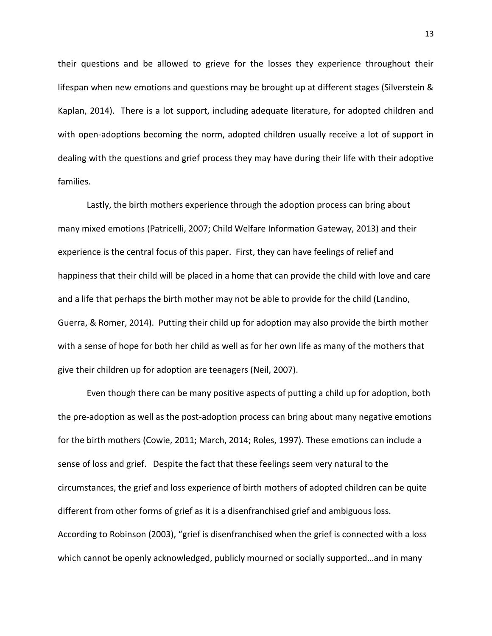their questions and be allowed to grieve for the losses they experience throughout their lifespan when new emotions and questions may be brought up at different stages (Silverstein & Kaplan, 2014). There is a lot support, including adequate literature, for adopted children and with open-adoptions becoming the norm, adopted children usually receive a lot of support in dealing with the questions and grief process they may have during their life with their adoptive families.

Lastly, the birth mothers experience through the adoption process can bring about many mixed emotions (Patricelli, 2007; Child Welfare Information Gateway, 2013) and their experience is the central focus of this paper. First, they can have feelings of relief and happiness that their child will be placed in a home that can provide the child with love and care and a life that perhaps the birth mother may not be able to provide for the child (Landino, Guerra, & Romer, 2014). Putting their child up for adoption may also provide the birth mother with a sense of hope for both her child as well as for her own life as many of the mothers that give their children up for adoption are teenagers (Neil, 2007).

Even though there can be many positive aspects of putting a child up for adoption, both the pre-adoption as well as the post-adoption process can bring about many negative emotions for the birth mothers (Cowie, 2011; March, 2014; Roles, 1997). These emotions can include a sense of loss and grief. Despite the fact that these feelings seem very natural to the circumstances, the grief and loss experience of birth mothers of adopted children can be quite different from other forms of grief as it is a disenfranchised grief and ambiguous loss. According to Robinson (2003), "grief is disenfranchised when the grief is connected with a loss which cannot be openly acknowledged, publicly mourned or socially supported…and in many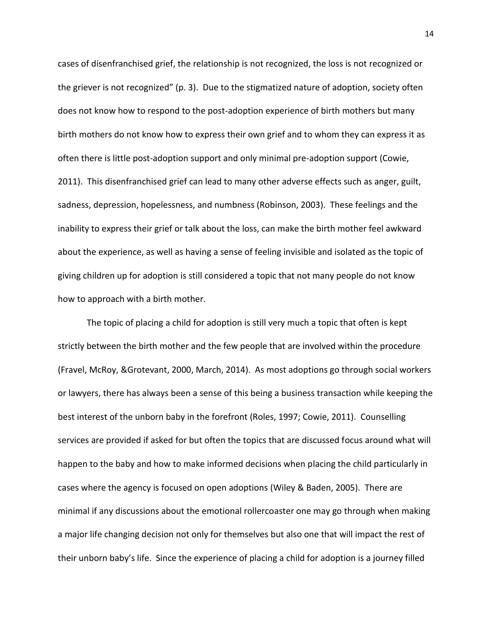cases of disenfranchised grief, the relationship is not recognized, the loss is not recognized or the griever is not recognized" (p. 3). Due to the stigmatized nature of adoption, society often does not know how to respond to the post-adoption experience of birth mothers but many birth mothers do not know how to express their own grief and to whom they can express it as often there is little post-adoption support and only minimal pre-adoption support (Cowie, 2011). This disenfranchised grief can lead to many other adverse effects such as anger, guilt, sadness, depression, hopelessness, and numbness (Robinson, 2003). These feelings and the inability to express their grief or talk about the loss, can make the birth mother feel awkward about the experience, as well as having a sense of feeling invisible and isolated as the topic of giving children up for adoption is still considered a topic that not many people do not know how to approach with a birth mother.

The topic of placing a child for adoption is still very much a topic that often is kept strictly between the birth mother and the few people that are involved within the procedure (Fravel, McRoy, &Grotevant, 2000, March, 2014). As most adoptions go through social workers or lawyers, there has always been a sense of this being a business transaction while keeping the best interest of the unborn baby in the forefront (Roles, 1997; Cowie, 2011). Counselling services are provided if asked for but often the topics that are discussed focus around what will happen to the baby and how to make informed decisions when placing the child particularly in cases where the agency is focused on open adoptions (Wiley & Baden, 2005). There are minimal if any discussions about the emotional rollercoaster one may go through when making a major life changing decision not only for themselves but also one that will impact the rest of their unborn baby's life. Since the experience of placing a child for adoption is a journey filled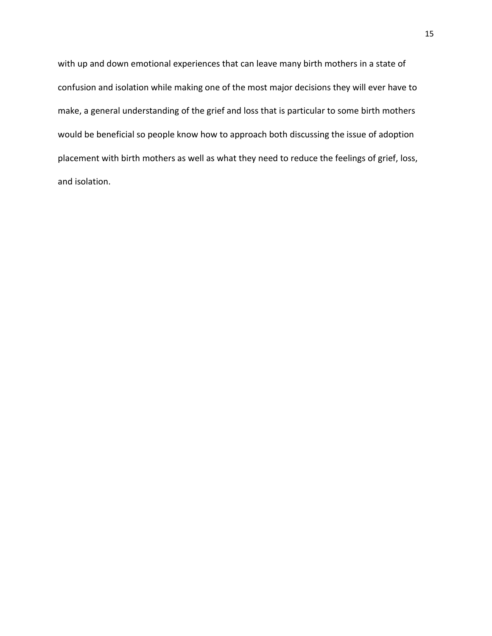with up and down emotional experiences that can leave many birth mothers in a state of confusion and isolation while making one of the most major decisions they will ever have to make, a general understanding of the grief and loss that is particular to some birth mothers would be beneficial so people know how to approach both discussing the issue of adoption placement with birth mothers as well as what they need to reduce the feelings of grief, loss, and isolation.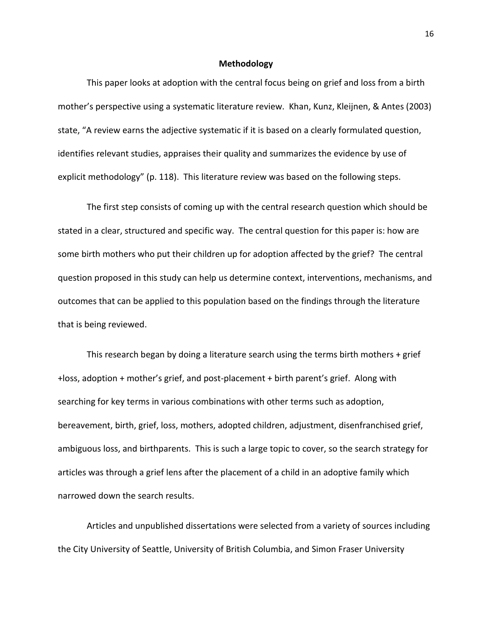### **Methodology**

This paper looks at adoption with the central focus being on grief and loss from a birth mother's perspective using a systematic literature review. Khan, Kunz, Kleijnen, & Antes (2003) state, "A review earns the adjective systematic if it is based on a clearly formulated question, identifies relevant studies, appraises their quality and summarizes the evidence by use of explicit methodology" (p. 118). This literature review was based on the following steps.

The first step consists of coming up with the central research question which should be stated in a clear, structured and specific way. The central question for this paper is: how are some birth mothers who put their children up for adoption affected by the grief? The central question proposed in this study can help us determine context, interventions, mechanisms, and outcomes that can be applied to this population based on the findings through the literature that is being reviewed.

This research began by doing a literature search using the terms birth mothers  $+$  grief +loss, adoption + mother's grief, and post-placement + birth parent's grief. Along with searching for key terms in various combinations with other terms such as adoption, bereavement, birth, grief, loss, mothers, adopted children, adjustment, disenfranchised grief, ambiguous loss, and birthparents. This is such a large topic to cover, so the search strategy for articles was through a grief lens after the placement of a child in an adoptive family which narrowed down the search results.

Articles and unpublished dissertations were selected from a variety of sources including the City University of Seattle, University of British Columbia, and Simon Fraser University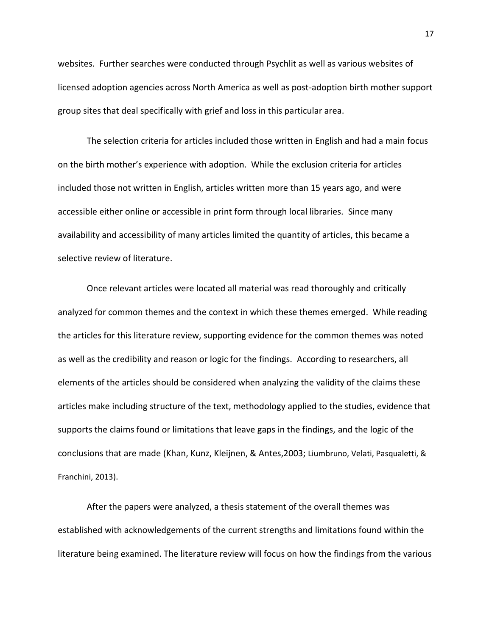websites. Further searches were conducted through Psychlit as well as various websites of licensed adoption agencies across North America as well as post-adoption birth mother support group sites that deal specifically with grief and loss in this particular area.

The selection criteria for articles included those written in English and had a main focus on the birth mother's experience with adoption. While the exclusion criteria for articles included those not written in English, articles written more than 15 years ago, and were accessible either online or accessible in print form through local libraries. Since many availability and accessibility of many articles limited the quantity of articles, this became a selective review of literature.

Once relevant articles were located all material was read thoroughly and critically analyzed for common themes and the context in which these themes emerged. While reading the articles for this literature review, supporting evidence for the common themes was noted as well as the credibility and reason or logic for the findings. According to researchers, all elements of the articles should be considered when analyzing the validity of the claims these articles make including structure of the text, methodology applied to the studies, evidence that supports the claims found or limitations that leave gaps in the findings, and the logic of the conclusions that are made (Khan, Kunz, Kleijnen, & Antes,2003; Liumbruno, Velati, Pasqualetti, & Franchini, 2013).

After the papers were analyzed, a thesis statement of the overall themes was established with acknowledgements of the current strengths and limitations found within the literature being examined. The literature review will focus on how the findings from the various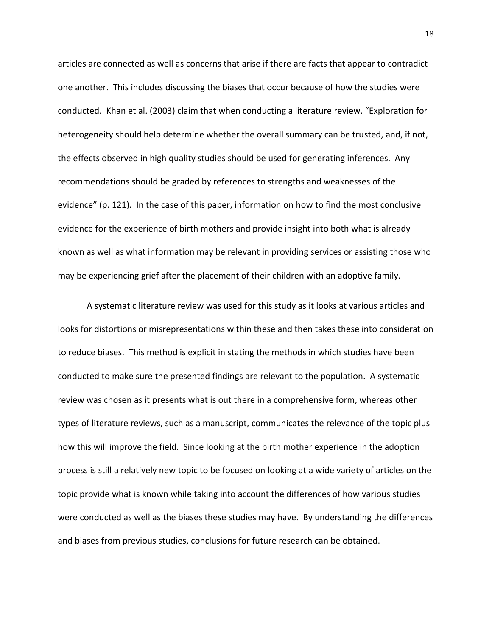articles are connected as well as concerns that arise if there are facts that appear to contradict one another. This includes discussing the biases that occur because of how the studies were conducted. Khan et al. (2003) claim that when conducting a literature review, "Exploration for heterogeneity should help determine whether the overall summary can be trusted, and, if not, the effects observed in high quality studies should be used for generating inferences. Any recommendations should be graded by references to strengths and weaknesses of the evidence" (p. 121). In the case of this paper, information on how to find the most conclusive evidence for the experience of birth mothers and provide insight into both what is already known as well as what information may be relevant in providing services or assisting those who may be experiencing grief after the placement of their children with an adoptive family.

A systematic literature review was used for this study as it looks at various articles and looks for distortions or misrepresentations within these and then takes these into consideration to reduce biases. This method is explicit in stating the methods in which studies have been conducted to make sure the presented findings are relevant to the population. A systematic review was chosen as it presents what is out there in a comprehensive form, whereas other types of literature reviews, such as a manuscript, communicates the relevance of the topic plus how this will improve the field. Since looking at the birth mother experience in the adoption process is still a relatively new topic to be focused on looking at a wide variety of articles on the topic provide what is known while taking into account the differences of how various studies were conducted as well as the biases these studies may have. By understanding the differences and biases from previous studies, conclusions for future research can be obtained.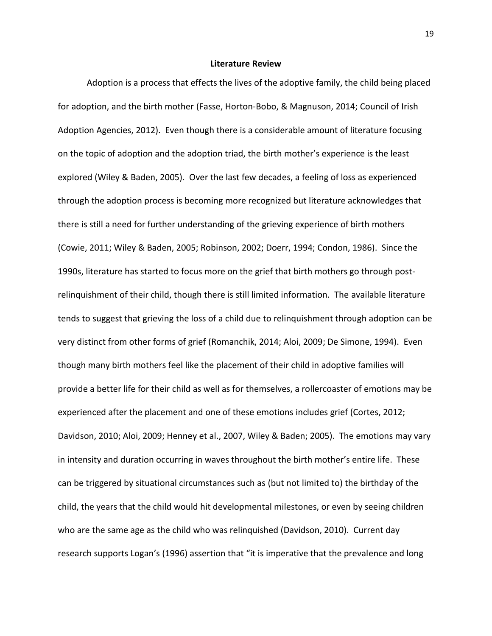#### **Literature Review**

Adoption is a process that effects the lives of the adoptive family, the child being placed for adoption, and the birth mother (Fasse, Horton-Bobo, & Magnuson, 2014; Council of Irish Adoption Agencies, 2012). Even though there is a considerable amount of literature focusing on the topic of adoption and the adoption triad, the birth mother's experience is the least explored (Wiley & Baden, 2005). Over the last few decades, a feeling of loss as experienced through the adoption process is becoming more recognized but literature acknowledges that there is still a need for further understanding of the grieving experience of birth mothers (Cowie, 2011; Wiley & Baden, 2005; Robinson, 2002; Doerr, 1994; Condon, 1986). Since the 1990s, literature has started to focus more on the grief that birth mothers go through postrelinquishment of their child, though there is still limited information. The available literature tends to suggest that grieving the loss of a child due to relinquishment through adoption can be very distinct from other forms of grief (Romanchik, 2014; Aloi, 2009; De Simone, 1994). Even though many birth mothers feel like the placement of their child in adoptive families will provide a better life for their child as well as for themselves, a rollercoaster of emotions may be experienced after the placement and one of these emotions includes grief (Cortes, 2012; Davidson, 2010; Aloi, 2009; Henney et al., 2007, Wiley & Baden; 2005). The emotions may vary in intensity and duration occurring in waves throughout the birth mother's entire life. These can be triggered by situational circumstances such as (but not limited to) the birthday of the child, the years that the child would hit developmental milestones, or even by seeing children who are the same age as the child who was relinquished (Davidson, 2010). Current day research supports Logan's (1996) assertion that "it is imperative that the prevalence and long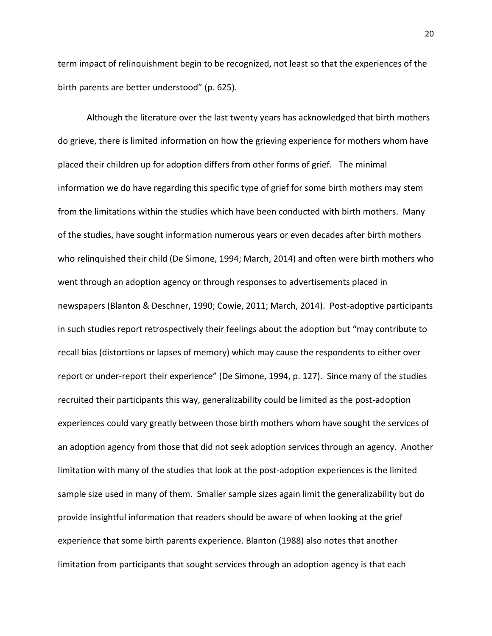term impact of relinquishment begin to be recognized, not least so that the experiences of the birth parents are better understood" (p. 625).

Although the literature over the last twenty years has acknowledged that birth mothers do grieve, there is limited information on how the grieving experience for mothers whom have placed their children up for adoption differs from other forms of grief. The minimal information we do have regarding this specific type of grief for some birth mothers may stem from the limitations within the studies which have been conducted with birth mothers. Many of the studies, have sought information numerous years or even decades after birth mothers who relinquished their child (De Simone, 1994; March, 2014) and often were birth mothers who went through an adoption agency or through responses to advertisements placed in newspapers (Blanton & Deschner, 1990; Cowie, 2011; March, 2014). Post-adoptive participants in such studies report retrospectively their feelings about the adoption but "may contribute to recall bias (distortions or lapses of memory) which may cause the respondents to either over report or under-report their experience" (De Simone, 1994, p. 127). Since many of the studies recruited their participants this way, generalizability could be limited as the post-adoption experiences could vary greatly between those birth mothers whom have sought the services of an adoption agency from those that did not seek adoption services through an agency. Another limitation with many of the studies that look at the post-adoption experiences is the limited sample size used in many of them. Smaller sample sizes again limit the generalizability but do provide insightful information that readers should be aware of when looking at the grief experience that some birth parents experience. Blanton (1988) also notes that another limitation from participants that sought services through an adoption agency is that each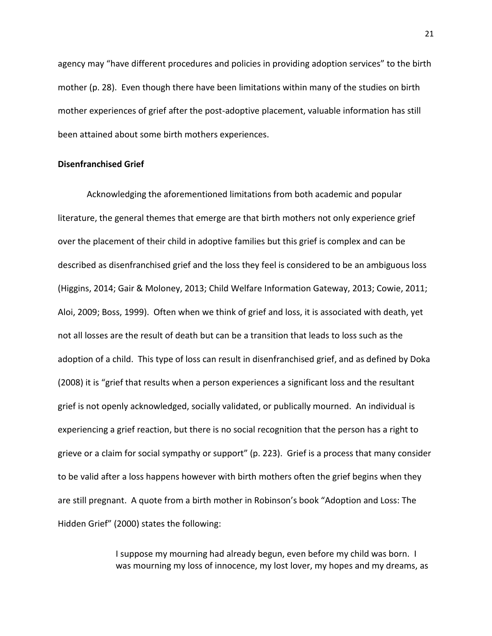agency may "have different procedures and policies in providing adoption services" to the birth mother (p. 28). Even though there have been limitations within many of the studies on birth mother experiences of grief after the post-adoptive placement, valuable information has still been attained about some birth mothers experiences.

## **Disenfranchised Grief**

Acknowledging the aforementioned limitations from both academic and popular literature, the general themes that emerge are that birth mothers not only experience grief over the placement of their child in adoptive families but this grief is complex and can be described as disenfranchised grief and the loss they feel is considered to be an ambiguous loss (Higgins, 2014; Gair & Moloney, 2013; Child Welfare Information Gateway, 2013; Cowie, 2011; Aloi, 2009; Boss, 1999). Often when we think of grief and loss, it is associated with death, yet not all losses are the result of death but can be a transition that leads to loss such as the adoption of a child. This type of loss can result in disenfranchised grief, and as defined by Doka (2008) it is "grief that results when a person experiences a significant loss and the resultant grief is not openly acknowledged, socially validated, or publically mourned. An individual is experiencing a grief reaction, but there is no social recognition that the person has a right to grieve or a claim for social sympathy or support" (p. 223). Grief is a process that many consider to be valid after a loss happens however with birth mothers often the grief begins when they are still pregnant. A quote from a birth mother in Robinson's book "Adoption and Loss: The Hidden Grief" (2000) states the following:

> I suppose my mourning had already begun, even before my child was born. I was mourning my loss of innocence, my lost lover, my hopes and my dreams, as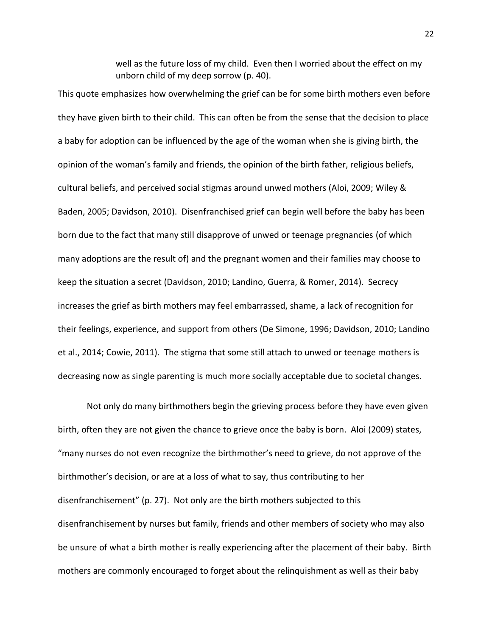well as the future loss of my child. Even then I worried about the effect on my unborn child of my deep sorrow (p. 40).

This quote emphasizes how overwhelming the grief can be for some birth mothers even before they have given birth to their child. This can often be from the sense that the decision to place a baby for adoption can be influenced by the age of the woman when she is giving birth, the opinion of the woman's family and friends, the opinion of the birth father, religious beliefs, cultural beliefs, and perceived social stigmas around unwed mothers (Aloi, 2009; Wiley & Baden, 2005; Davidson, 2010). Disenfranchised grief can begin well before the baby has been born due to the fact that many still disapprove of unwed or teenage pregnancies (of which many adoptions are the result of) and the pregnant women and their families may choose to keep the situation a secret (Davidson, 2010; Landino, Guerra, & Romer, 2014). Secrecy increases the grief as birth mothers may feel embarrassed, shame, a lack of recognition for their feelings, experience, and support from others (De Simone, 1996; Davidson, 2010; Landino et al., 2014; Cowie, 2011). The stigma that some still attach to unwed or teenage mothers is decreasing now as single parenting is much more socially acceptable due to societal changes.

Not only do many birthmothers begin the grieving process before they have even given birth, often they are not given the chance to grieve once the baby is born. Aloi (2009) states, "many nurses do not even recognize the birthmother's need to grieve, do not approve of the birthmother's decision, or are at a loss of what to say, thus contributing to her disenfranchisement" (p. 27). Not only are the birth mothers subjected to this disenfranchisement by nurses but family, friends and other members of society who may also be unsure of what a birth mother is really experiencing after the placement of their baby. Birth mothers are commonly encouraged to forget about the relinquishment as well as their baby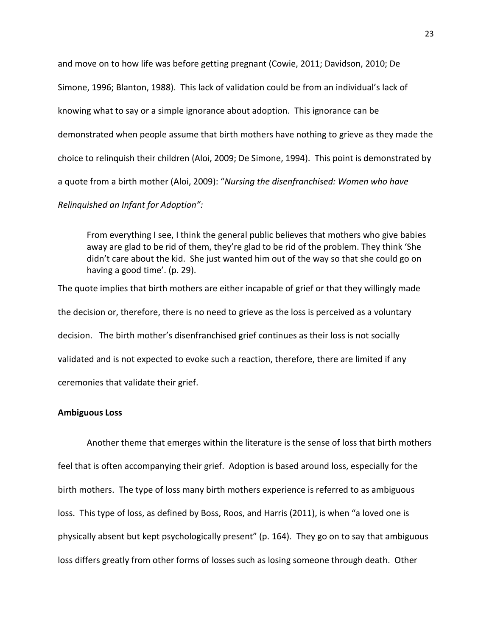and move on to how life was before getting pregnant (Cowie, 2011; Davidson, 2010; De Simone, 1996; Blanton, 1988). This lack of validation could be from an individual's lack of knowing what to say or a simple ignorance about adoption. This ignorance can be demonstrated when people assume that birth mothers have nothing to grieve as they made the choice to relinquish their children (Aloi, 2009; De Simone, 1994). This point is demonstrated by a quote from a birth mother (Aloi, 2009): "*Nursing the disenfranchised: Women who have Relinquished an Infant for Adoption":* 

From everything I see, I think the general public believes that mothers who give babies away are glad to be rid of them, they're glad to be rid of the problem. They think 'She didn't care about the kid. She just wanted him out of the way so that she could go on having a good time'. (p. 29).

The quote implies that birth mothers are either incapable of grief or that they willingly made the decision or, therefore, there is no need to grieve as the loss is perceived as a voluntary decision. The birth mother's disenfranchised grief continues as their loss is not socially validated and is not expected to evoke such a reaction, therefore, there are limited if any ceremonies that validate their grief.

## **Ambiguous Loss**

Another theme that emerges within the literature is the sense of loss that birth mothers feel that is often accompanying their grief. Adoption is based around loss, especially for the birth mothers. The type of loss many birth mothers experience is referred to as ambiguous loss. This type of loss, as defined by Boss, Roos, and Harris (2011), is when "a loved one is physically absent but kept psychologically present" (p. 164). They go on to say that ambiguous loss differs greatly from other forms of losses such as losing someone through death. Other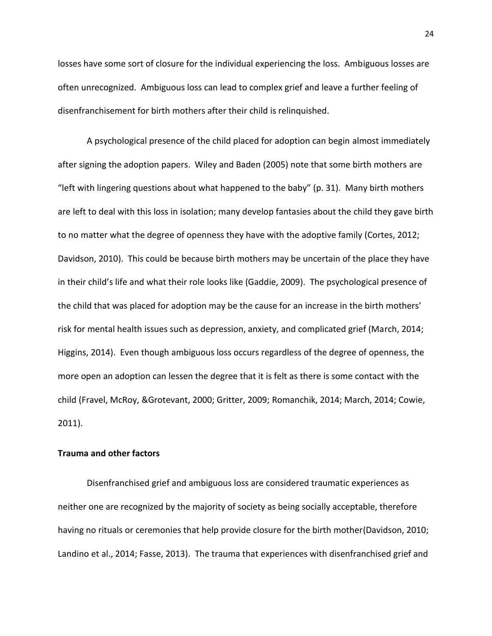losses have some sort of closure for the individual experiencing the loss. Ambiguous losses are often unrecognized. Ambiguous loss can lead to complex grief and leave a further feeling of disenfranchisement for birth mothers after their child is relinquished.

 A psychological presence of the child placed for adoption can begin almost immediately after signing the adoption papers. Wiley and Baden (2005) note that some birth mothers are "left with lingering questions about what happened to the baby" (p. 31). Many birth mothers are left to deal with this loss in isolation; many develop fantasies about the child they gave birth to no matter what the degree of openness they have with the adoptive family (Cortes, 2012; Davidson, 2010). This could be because birth mothers may be uncertain of the place they have in their child's life and what their role looks like (Gaddie, 2009). The psychological presence of the child that was placed for adoption may be the cause for an increase in the birth mothers' risk for mental health issues such as depression, anxiety, and complicated grief (March, 2014; Higgins, 2014). Even though ambiguous loss occurs regardless of the degree of openness, the more open an adoption can lessen the degree that it is felt as there is some contact with the child (Fravel, McRoy, &Grotevant, 2000; Gritter, 2009; Romanchik, 2014; March, 2014; Cowie, 2011).

### **Trauma and other factors**

Disenfranchised grief and ambiguous loss are considered traumatic experiences as neither one are recognized by the majority of society as being socially acceptable, therefore having no rituals or ceremonies that help provide closure for the birth mother(Davidson, 2010; Landino et al., 2014; Fasse, 2013). The trauma that experiences with disenfranchised grief and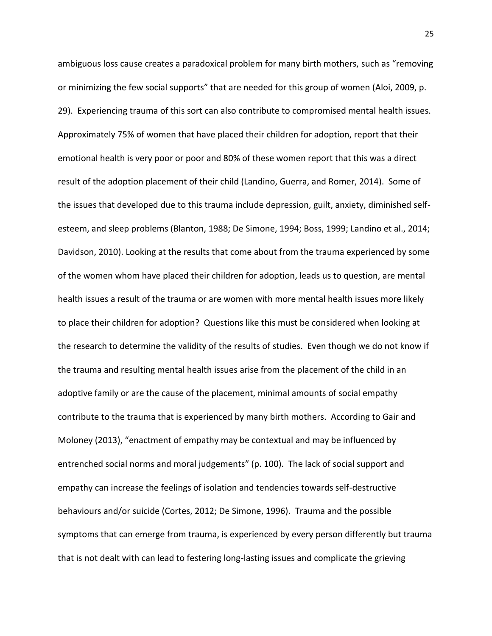ambiguous loss cause creates a paradoxical problem for many birth mothers, such as "removing or minimizing the few social supports" that are needed for this group of women (Aloi, 2009, p. 29). Experiencing trauma of this sort can also contribute to compromised mental health issues. Approximately 75% of women that have placed their children for adoption, report that their emotional health is very poor or poor and 80% of these women report that this was a direct result of the adoption placement of their child (Landino, Guerra, and Romer, 2014). Some of the issues that developed due to this trauma include depression, guilt, anxiety, diminished selfesteem, and sleep problems (Blanton, 1988; De Simone, 1994; Boss, 1999; Landino et al., 2014; Davidson, 2010). Looking at the results that come about from the trauma experienced by some of the women whom have placed their children for adoption, leads us to question, are mental health issues a result of the trauma or are women with more mental health issues more likely to place their children for adoption? Questions like this must be considered when looking at the research to determine the validity of the results of studies. Even though we do not know if the trauma and resulting mental health issues arise from the placement of the child in an adoptive family or are the cause of the placement, minimal amounts of social empathy contribute to the trauma that is experienced by many birth mothers. According to Gair and Moloney (2013), "enactment of empathy may be contextual and may be influenced by entrenched social norms and moral judgements" (p. 100). The lack of social support and empathy can increase the feelings of isolation and tendencies towards self-destructive behaviours and/or suicide (Cortes, 2012; De Simone, 1996). Trauma and the possible symptoms that can emerge from trauma, is experienced by every person differently but trauma that is not dealt with can lead to festering long-lasting issues and complicate the grieving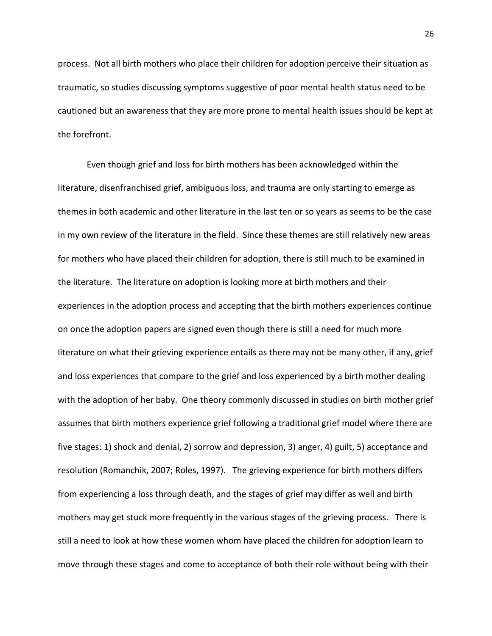process. Not all birth mothers who place their children for adoption perceive their situation as traumatic, so studies discussing symptoms suggestive of poor mental health status need to be cautioned but an awareness that they are more prone to mental health issues should be kept at the forefront.

Even though grief and loss for birth mothers has been acknowledged within the literature, disenfranchised grief, ambiguous loss, and trauma are only starting to emerge as themes in both academic and other literature in the last ten or so years as seems to be the case in my own review of the literature in the field. Since these themes are still relatively new areas for mothers who have placed their children for adoption, there is still much to be examined in the literature. The literature on adoption is looking more at birth mothers and their experiences in the adoption process and accepting that the birth mothers experiences continue on once the adoption papers are signed even though there is still a need for much more literature on what their grieving experience entails as there may not be many other, if any, grief and loss experiences that compare to the grief and loss experienced by a birth mother dealing with the adoption of her baby. One theory commonly discussed in studies on birth mother grief assumes that birth mothers experience grief following a traditional grief model where there are five stages: 1) shock and denial, 2) sorrow and depression, 3) anger, 4) guilt, 5) acceptance and resolution (Romanchik, 2007; Roles, 1997). The grieving experience for birth mothers differs from experiencing a loss through death, and the stages of grief may differ as well and birth mothers may get stuck more frequently in the various stages of the grieving process. There is still a need to look at how these women whom have placed the children for adoption learn to move through these stages and come to acceptance of both their role without being with their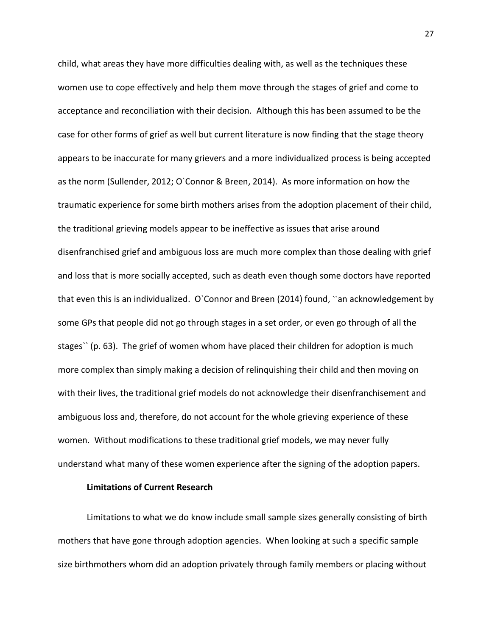child, what areas they have more difficulties dealing with, as well as the techniques these women use to cope effectively and help them move through the stages of grief and come to acceptance and reconciliation with their decision. Although this has been assumed to be the case for other forms of grief as well but current literature is now finding that the stage theory appears to be inaccurate for many grievers and a more individualized process is being accepted as the norm (Sullender, 2012; O`Connor & Breen, 2014). As more information on how the traumatic experience for some birth mothers arises from the adoption placement of their child, the traditional grieving models appear to be ineffective as issues that arise around disenfranchised grief and ambiguous loss are much more complex than those dealing with grief and loss that is more socially accepted, such as death even though some doctors have reported that even this is an individualized. O`Connor and Breen (2014) found, ``an acknowledgement by some GPs that people did not go through stages in a set order, or even go through of all the stages`` (p. 63). The grief of women whom have placed their children for adoption is much more complex than simply making a decision of relinquishing their child and then moving on with their lives, the traditional grief models do not acknowledge their disenfranchisement and ambiguous loss and, therefore, do not account for the whole grieving experience of these women. Without modifications to these traditional grief models, we may never fully understand what many of these women experience after the signing of the adoption papers.

## **Limitations of Current Research**

Limitations to what we do know include small sample sizes generally consisting of birth mothers that have gone through adoption agencies. When looking at such a specific sample size birthmothers whom did an adoption privately through family members or placing without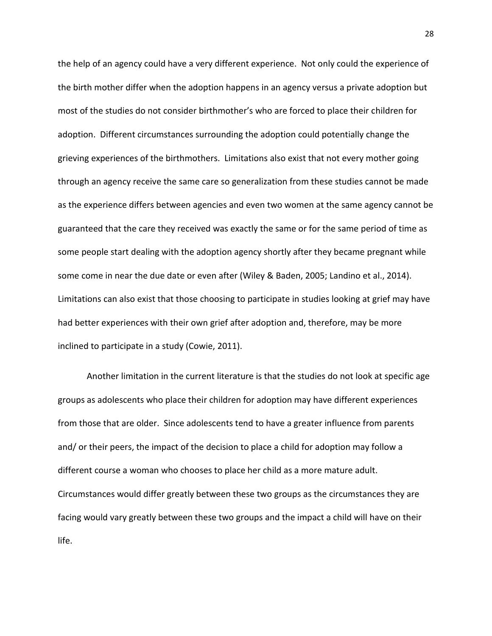the help of an agency could have a very different experience. Not only could the experience of the birth mother differ when the adoption happens in an agency versus a private adoption but most of the studies do not consider birthmother's who are forced to place their children for adoption. Different circumstances surrounding the adoption could potentially change the grieving experiences of the birthmothers. Limitations also exist that not every mother going through an agency receive the same care so generalization from these studies cannot be made as the experience differs between agencies and even two women at the same agency cannot be guaranteed that the care they received was exactly the same or for the same period of time as some people start dealing with the adoption agency shortly after they became pregnant while some come in near the due date or even after (Wiley & Baden, 2005; Landino et al., 2014). Limitations can also exist that those choosing to participate in studies looking at grief may have had better experiences with their own grief after adoption and, therefore, may be more inclined to participate in a study (Cowie, 2011).

Another limitation in the current literature is that the studies do not look at specific age groups as adolescents who place their children for adoption may have different experiences from those that are older. Since adolescents tend to have a greater influence from parents and/ or their peers, the impact of the decision to place a child for adoption may follow a different course a woman who chooses to place her child as a more mature adult. Circumstances would differ greatly between these two groups as the circumstances they are facing would vary greatly between these two groups and the impact a child will have on their life.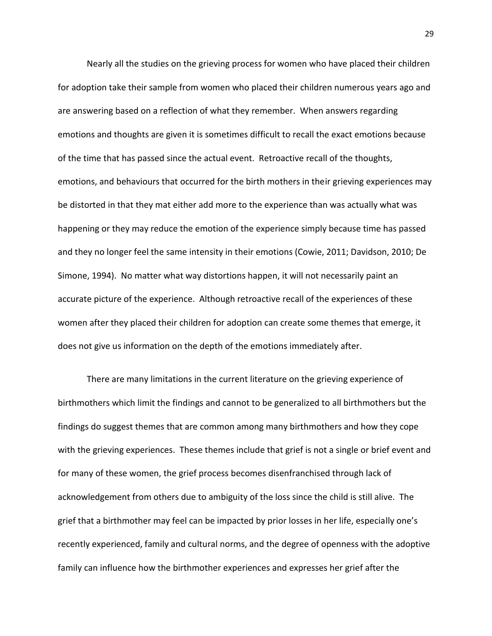Nearly all the studies on the grieving process for women who have placed their children for adoption take their sample from women who placed their children numerous years ago and are answering based on a reflection of what they remember. When answers regarding emotions and thoughts are given it is sometimes difficult to recall the exact emotions because of the time that has passed since the actual event. Retroactive recall of the thoughts, emotions, and behaviours that occurred for the birth mothers in their grieving experiences may be distorted in that they mat either add more to the experience than was actually what was happening or they may reduce the emotion of the experience simply because time has passed and they no longer feel the same intensity in their emotions (Cowie, 2011; Davidson, 2010; De Simone, 1994). No matter what way distortions happen, it will not necessarily paint an accurate picture of the experience. Although retroactive recall of the experiences of these women after they placed their children for adoption can create some themes that emerge, it does not give us information on the depth of the emotions immediately after.

There are many limitations in the current literature on the grieving experience of birthmothers which limit the findings and cannot to be generalized to all birthmothers but the findings do suggest themes that are common among many birthmothers and how they cope with the grieving experiences. These themes include that grief is not a single or brief event and for many of these women, the grief process becomes disenfranchised through lack of acknowledgement from others due to ambiguity of the loss since the child is still alive. The grief that a birthmother may feel can be impacted by prior losses in her life, especially one's recently experienced, family and cultural norms, and the degree of openness with the adoptive family can influence how the birthmother experiences and expresses her grief after the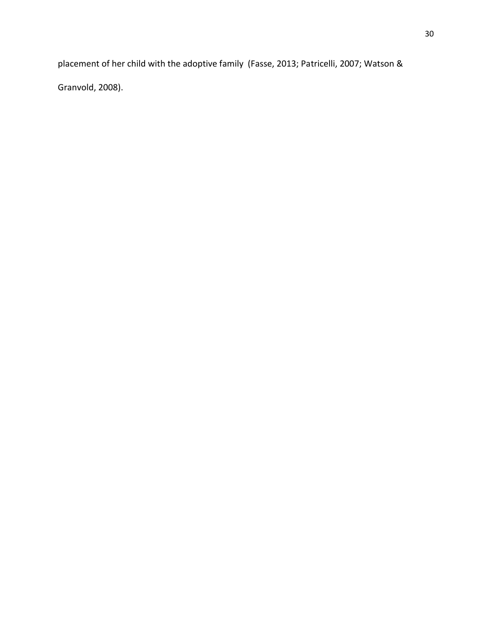placement of her child with the adoptive family (Fasse, 2013; Patricelli, 2007; Watson & Granvold, 2008).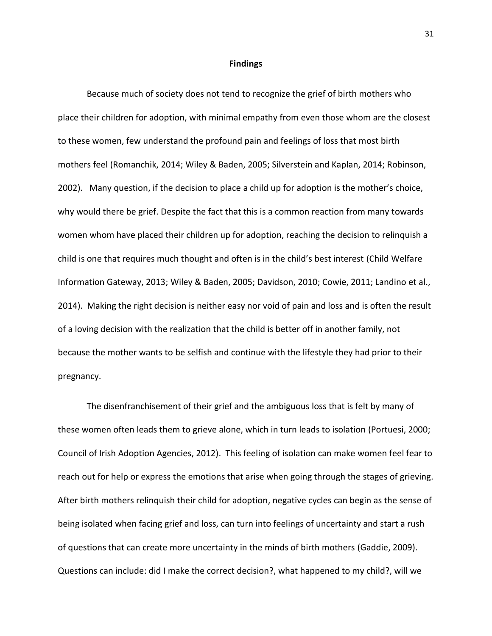#### **Findings**

Because much of society does not tend to recognize the grief of birth mothers who place their children for adoption, with minimal empathy from even those whom are the closest to these women, few understand the profound pain and feelings of loss that most birth mothers feel (Romanchik, 2014; Wiley & Baden, 2005; Silverstein and Kaplan, 2014; Robinson, 2002). Many question, if the decision to place a child up for adoption is the mother's choice, why would there be grief. Despite the fact that this is a common reaction from many towards women whom have placed their children up for adoption, reaching the decision to relinquish a child is one that requires much thought and often is in the child's best interest (Child Welfare Information Gateway, 2013; Wiley & Baden, 2005; Davidson, 2010; Cowie, 2011; Landino et al., 2014). Making the right decision is neither easy nor void of pain and loss and is often the result of a loving decision with the realization that the child is better off in another family, not because the mother wants to be selfish and continue with the lifestyle they had prior to their pregnancy.

The disenfranchisement of their grief and the ambiguous loss that is felt by many of these women often leads them to grieve alone, which in turn leads to isolation (Portuesi, 2000; Council of Irish Adoption Agencies, 2012). This feeling of isolation can make women feel fear to reach out for help or express the emotions that arise when going through the stages of grieving. After birth mothers relinquish their child for adoption, negative cycles can begin as the sense of being isolated when facing grief and loss, can turn into feelings of uncertainty and start a rush of questions that can create more uncertainty in the minds of birth mothers (Gaddie, 2009). Questions can include: did I make the correct decision?, what happened to my child?, will we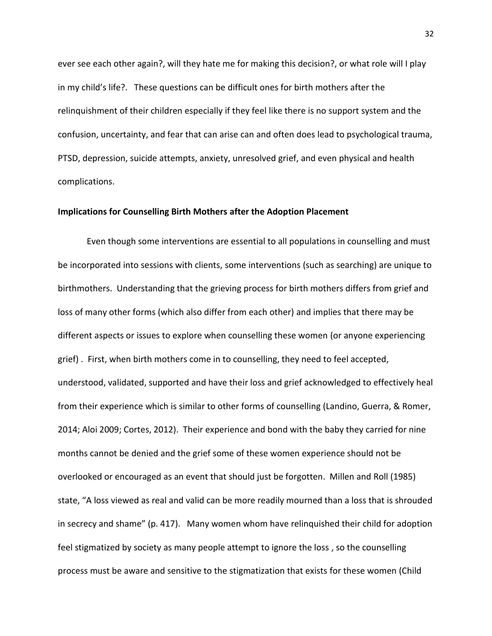ever see each other again?, will they hate me for making this decision?, or what role will I play in my child's life?. These questions can be difficult ones for birth mothers after the relinquishment of their children especially if they feel like there is no support system and the confusion, uncertainty, and fear that can arise can and often does lead to psychological trauma, PTSD, depression, suicide attempts, anxiety, unresolved grief, and even physical and health complications.

## **Implications for Counselling Birth Mothers after the Adoption Placement**

Even though some interventions are essential to all populations in counselling and must be incorporated into sessions with clients, some interventions (such as searching) are unique to birthmothers. Understanding that the grieving process for birth mothers differs from grief and loss of many other forms (which also differ from each other) and implies that there may be different aspects or issues to explore when counselling these women (or anyone experiencing grief) . First, when birth mothers come in to counselling, they need to feel accepted, understood, validated, supported and have their loss and grief acknowledged to effectively heal from their experience which is similar to other forms of counselling (Landino, Guerra, & Romer, 2014; Aloi 2009; Cortes, 2012). Their experience and bond with the baby they carried for nine months cannot be denied and the grief some of these women experience should not be overlooked or encouraged as an event that should just be forgotten. Millen and Roll (1985) state, "A loss viewed as real and valid can be more readily mourned than a loss that is shrouded in secrecy and shame" (p. 417). Many women whom have relinquished their child for adoption feel stigmatized by society as many people attempt to ignore the loss , so the counselling process must be aware and sensitive to the stigmatization that exists for these women (Child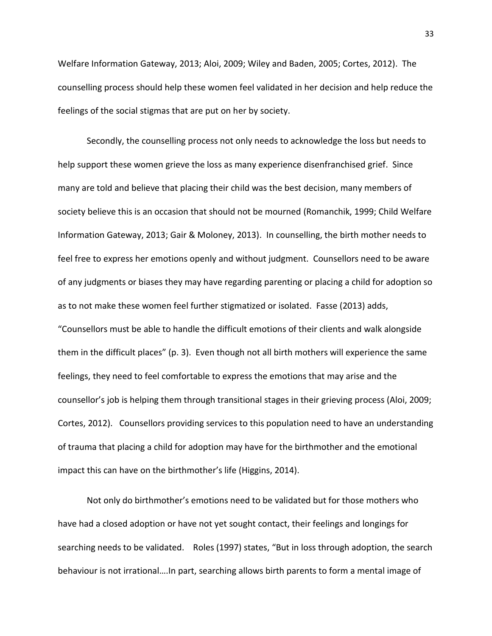Welfare Information Gateway, 2013; Aloi, 2009; Wiley and Baden, 2005; Cortes, 2012). The counselling process should help these women feel validated in her decision and help reduce the feelings of the social stigmas that are put on her by society.

Secondly, the counselling process not only needs to acknowledge the loss but needs to help support these women grieve the loss as many experience disenfranchised grief. Since many are told and believe that placing their child was the best decision, many members of society believe this is an occasion that should not be mourned (Romanchik, 1999; Child Welfare Information Gateway, 2013; Gair & Moloney, 2013). In counselling, the birth mother needs to feel free to express her emotions openly and without judgment. Counsellors need to be aware of any judgments or biases they may have regarding parenting or placing a child for adoption so as to not make these women feel further stigmatized or isolated. Fasse (2013) adds, "Counsellors must be able to handle the difficult emotions of their clients and walk alongside them in the difficult places" (p. 3). Even though not all birth mothers will experience the same feelings, they need to feel comfortable to express the emotions that may arise and the counsellor's job is helping them through transitional stages in their grieving process (Aloi, 2009; Cortes, 2012). Counsellors providing services to this population need to have an understanding of trauma that placing a child for adoption may have for the birthmother and the emotional impact this can have on the birthmother's life (Higgins, 2014).

Not only do birthmother's emotions need to be validated but for those mothers who have had a closed adoption or have not yet sought contact, their feelings and longings for searching needs to be validated. Roles (1997) states, "But in loss through adoption, the search behaviour is not irrational….In part, searching allows birth parents to form a mental image of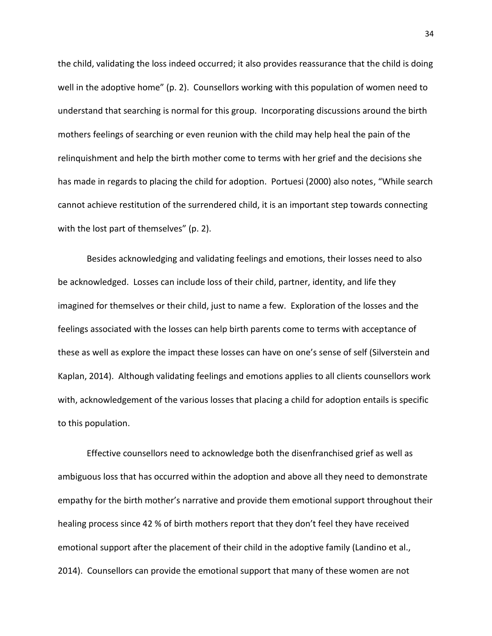the child, validating the loss indeed occurred; it also provides reassurance that the child is doing well in the adoptive home" (p. 2). Counsellors working with this population of women need to understand that searching is normal for this group. Incorporating discussions around the birth mothers feelings of searching or even reunion with the child may help heal the pain of the relinquishment and help the birth mother come to terms with her grief and the decisions she has made in regards to placing the child for adoption. Portuesi (2000) also notes, "While search cannot achieve restitution of the surrendered child, it is an important step towards connecting with the lost part of themselves" (p. 2).

Besides acknowledging and validating feelings and emotions, their losses need to also be acknowledged. Losses can include loss of their child, partner, identity, and life they imagined for themselves or their child, just to name a few. Exploration of the losses and the feelings associated with the losses can help birth parents come to terms with acceptance of these as well as explore the impact these losses can have on one's sense of self (Silverstein and Kaplan, 2014). Although validating feelings and emotions applies to all clients counsellors work with, acknowledgement of the various losses that placing a child for adoption entails is specific to this population.

Effective counsellors need to acknowledge both the disenfranchised grief as well as ambiguous loss that has occurred within the adoption and above all they need to demonstrate empathy for the birth mother's narrative and provide them emotional support throughout their healing process since 42 % of birth mothers report that they don't feel they have received emotional support after the placement of their child in the adoptive family (Landino et al., 2014). Counsellors can provide the emotional support that many of these women are not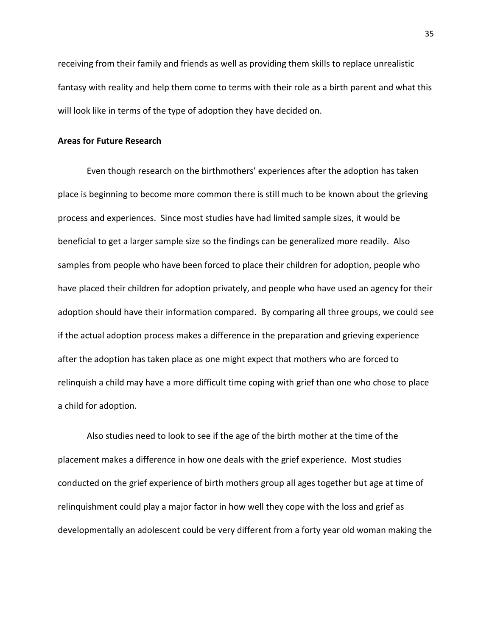receiving from their family and friends as well as providing them skills to replace unrealistic fantasy with reality and help them come to terms with their role as a birth parent and what this will look like in terms of the type of adoption they have decided on.

## **Areas for Future Research**

Even though research on the birthmothers' experiences after the adoption has taken place is beginning to become more common there is still much to be known about the grieving process and experiences. Since most studies have had limited sample sizes, it would be beneficial to get a larger sample size so the findings can be generalized more readily. Also samples from people who have been forced to place their children for adoption, people who have placed their children for adoption privately, and people who have used an agency for their adoption should have their information compared. By comparing all three groups, we could see if the actual adoption process makes a difference in the preparation and grieving experience after the adoption has taken place as one might expect that mothers who are forced to relinquish a child may have a more difficult time coping with grief than one who chose to place a child for adoption.

Also studies need to look to see if the age of the birth mother at the time of the placement makes a difference in how one deals with the grief experience. Most studies conducted on the grief experience of birth mothers group all ages together but age at time of relinquishment could play a major factor in how well they cope with the loss and grief as developmentally an adolescent could be very different from a forty year old woman making the

35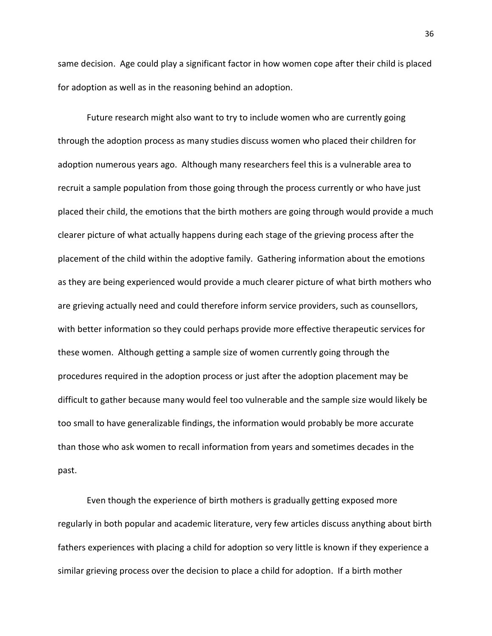same decision. Age could play a significant factor in how women cope after their child is placed for adoption as well as in the reasoning behind an adoption.

Future research might also want to try to include women who are currently going through the adoption process as many studies discuss women who placed their children for adoption numerous years ago. Although many researchers feel this is a vulnerable area to recruit a sample population from those going through the process currently or who have just placed their child, the emotions that the birth mothers are going through would provide a much clearer picture of what actually happens during each stage of the grieving process after the placement of the child within the adoptive family. Gathering information about the emotions as they are being experienced would provide a much clearer picture of what birth mothers who are grieving actually need and could therefore inform service providers, such as counsellors, with better information so they could perhaps provide more effective therapeutic services for these women. Although getting a sample size of women currently going through the procedures required in the adoption process or just after the adoption placement may be difficult to gather because many would feel too vulnerable and the sample size would likely be too small to have generalizable findings, the information would probably be more accurate than those who ask women to recall information from years and sometimes decades in the past.

Even though the experience of birth mothers is gradually getting exposed more regularly in both popular and academic literature, very few articles discuss anything about birth fathers experiences with placing a child for adoption so very little is known if they experience a similar grieving process over the decision to place a child for adoption. If a birth mother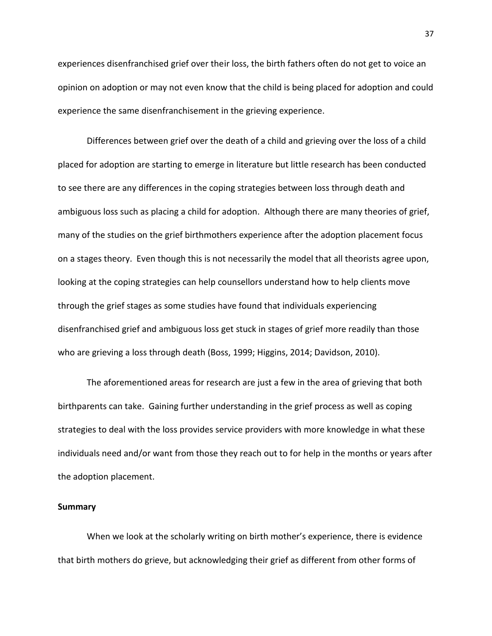experiences disenfranchised grief over their loss, the birth fathers often do not get to voice an opinion on adoption or may not even know that the child is being placed for adoption and could experience the same disenfranchisement in the grieving experience.

Differences between grief over the death of a child and grieving over the loss of a child placed for adoption are starting to emerge in literature but little research has been conducted to see there are any differences in the coping strategies between loss through death and ambiguous loss such as placing a child for adoption. Although there are many theories of grief, many of the studies on the grief birthmothers experience after the adoption placement focus on a stages theory. Even though this is not necessarily the model that all theorists agree upon, looking at the coping strategies can help counsellors understand how to help clients move through the grief stages as some studies have found that individuals experiencing disenfranchised grief and ambiguous loss get stuck in stages of grief more readily than those who are grieving a loss through death (Boss, 1999; Higgins, 2014; Davidson, 2010).

The aforementioned areas for research are just a few in the area of grieving that both birthparents can take. Gaining further understanding in the grief process as well as coping strategies to deal with the loss provides service providers with more knowledge in what these individuals need and/or want from those they reach out to for help in the months or years after the adoption placement.

#### **Summary**

When we look at the scholarly writing on birth mother's experience, there is evidence that birth mothers do grieve, but acknowledging their grief as different from other forms of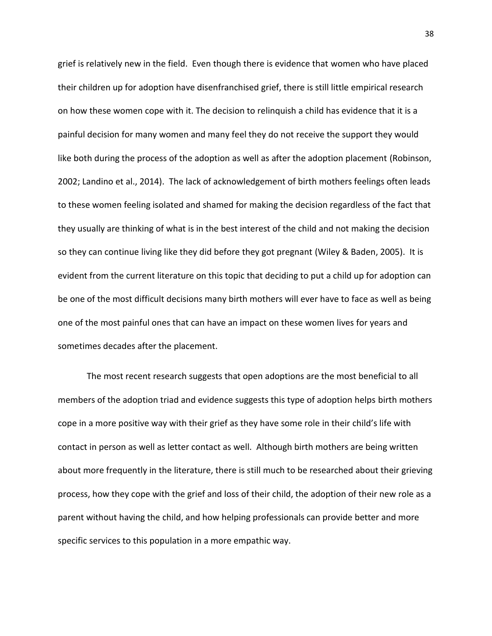grief is relatively new in the field. Even though there is evidence that women who have placed their children up for adoption have disenfranchised grief, there is still little empirical research on how these women cope with it. The decision to relinquish a child has evidence that it is a painful decision for many women and many feel they do not receive the support they would like both during the process of the adoption as well as after the adoption placement (Robinson, 2002; Landino et al., 2014). The lack of acknowledgement of birth mothers feelings often leads to these women feeling isolated and shamed for making the decision regardless of the fact that they usually are thinking of what is in the best interest of the child and not making the decision so they can continue living like they did before they got pregnant (Wiley & Baden, 2005). It is evident from the current literature on this topic that deciding to put a child up for adoption can be one of the most difficult decisions many birth mothers will ever have to face as well as being one of the most painful ones that can have an impact on these women lives for years and sometimes decades after the placement.

The most recent research suggests that open adoptions are the most beneficial to all members of the adoption triad and evidence suggests this type of adoption helps birth mothers cope in a more positive way with their grief as they have some role in their child's life with contact in person as well as letter contact as well. Although birth mothers are being written about more frequently in the literature, there is still much to be researched about their grieving process, how they cope with the grief and loss of their child, the adoption of their new role as a parent without having the child, and how helping professionals can provide better and more specific services to this population in a more empathic way.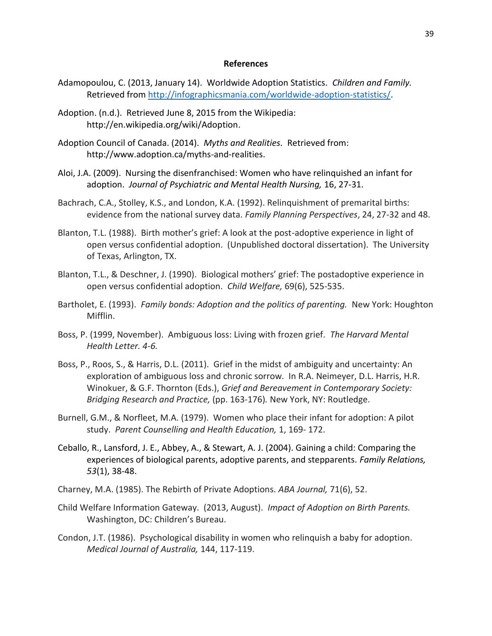### **References**

- Adamopoulou, C. (2013, January 14). Worldwide Adoption Statistics. *Children and Family.* Retrieved from [http://infographicsmania.com/worldwide-adoption-statistics/.](http://infographicsmania.com/worldwide-adoption-statistics/)
- Adoption. (n.d.). Retrieved June 8, 2015 from the Wikipedia: http://en.wikipedia.org/wiki/Adoption.
- Adoption Council of Canada. (2014). *Myths and Realities.* Retrieved from: http://www.adoption.ca/myths-and-realities.
- Aloi, J.A. (2009). Nursing the disenfranchised: Women who have relinquished an infant for adoption. *Journal of Psychiatric and Mental Health Nursing,* 16, 27-31.
- Bachrach, C.A., Stolley, K.S., and London, K.A. (1992). Relinquishment of premarital births: evidence from the national survey data. *Family Planning Perspectives*, 24, 27-32 and 48.
- Blanton, T.L. (1988). Birth mother's grief: A look at the post-adoptive experience in light of open versus confidential adoption. (Unpublished doctoral dissertation). The University of Texas, Arlington, TX.
- Blanton, T.L., & Deschner, J. (1990). Biological mothers' grief: The postadoptive experience in open versus confidential adoption. *Child Welfare,* 69(6), 525-535.
- Bartholet, E. (1993). *Family bonds: Adoption and the politics of parenting.* New York: Houghton Mifflin.
- Boss, P. (1999, November). Ambiguous loss: Living with frozen grief. *The Harvard Mental Health Letter. 4-6.*
- Boss, P., Roos, S., & Harris, D.L. (2011). Grief in the midst of ambiguity and uncertainty: An exploration of ambiguous loss and chronic sorrow. In R.A. Neimeyer, D.L. Harris, H.R. Winokuer, & G.F. Thornton (Eds.), *Grief and Bereavement in Contemporary Society: Bridging Research and Practice,* (pp. 163-176)*.* New York, NY: Routledge.
- Burnell, G.M., & Norfleet, M.A. (1979). Women who place their infant for adoption: A pilot study. *Parent Counselling and Health Education,* 1, 169- 172.
- Ceballo, R., Lansford, J. E., Abbey, A., & Stewart, A. J. (2004). Gaining a child: Comparing the experiences of biological parents, adoptive parents, and stepparents. *Family Relations, 53*(1), 38-48.
- Charney, M.A. (1985). The Rebirth of Private Adoptions. *ABA Journal,* 71(6), 52.
- Child Welfare Information Gateway. (2013, August). *Impact of Adoption on Birth Parents.* Washington, DC: Children's Bureau.
- Condon, J.T. (1986). Psychological disability in women who relinquish a baby for adoption. *Medical Journal of Australia,* 144, 117-119.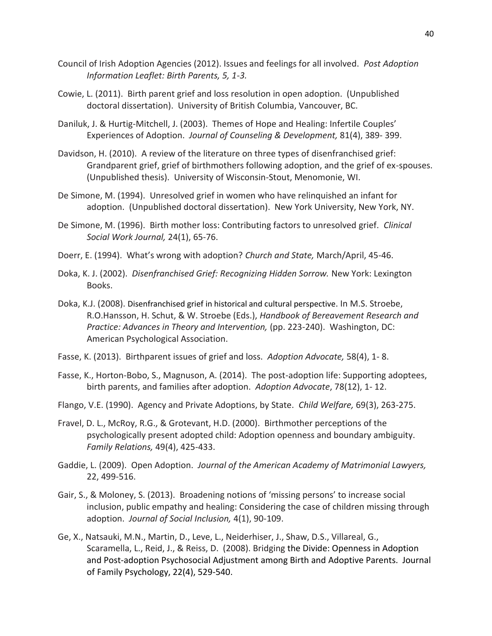- Council of Irish Adoption Agencies (2012). Issues and feelings for all involved. *Post Adoption Information Leaflet: Birth Parents, 5, 1-3.*
- Cowie, L. (2011). Birth parent grief and loss resolution in open adoption. (Unpublished doctoral dissertation). University of British Columbia, Vancouver, BC.
- Daniluk, J. & Hurtig-Mitchell, J. (2003). Themes of Hope and Healing: Infertile Couples' Experiences of Adoption. *Journal of Counseling & Development,* 81(4), 389- 399.
- Davidson, H. (2010). A review of the literature on three types of disenfranchised grief: Grandparent grief, grief of birthmothers following adoption, and the grief of ex-spouses. (Unpublished thesis). University of Wisconsin-Stout, Menomonie, WI.
- De Simone, M. (1994). Unresolved grief in women who have relinquished an infant for adoption. (Unpublished doctoral dissertation). New York University, New York, NY.
- De Simone, M. (1996). Birth mother loss: Contributing factors to unresolved grief. *Clinical Social Work Journal,* 24(1), 65-76.
- Doerr, E. (1994). What's wrong with adoption? *Church and State,* March/April, 45-46.
- Doka, K. J. (2002). *Disenfranchised Grief: Recognizing Hidden Sorrow.* New York: Lexington Books.
- Doka, K.J. (2008). Disenfranchised grief in historical and cultural perspective. In M.S. Stroebe, R.O.Hansson, H. Schut, & W. Stroebe (Eds.), *Handbook of Bereavement Research and Practice: Advances in Theory and Intervention,* (pp. 223-240). Washington, DC: American Psychological Association.
- Fasse, K. (2013). Birthparent issues of grief and loss. *Adoption Advocate,* 58(4), 1- 8.
- Fasse, K., Horton-Bobo, S., Magnuson, A. (2014). The post-adoption life: Supporting adoptees, birth parents, and families after adoption. *Adoption Advocate*, 78(12), 1- 12.
- Flango, V.E. (1990). Agency and Private Adoptions, by State. *Child Welfare,* 69(3), 263-275.
- Fravel, D. L., McRoy, R.G., & Grotevant, H.D. (2000). Birthmother perceptions of the psychologically present adopted child: Adoption openness and boundary ambiguity. *Family Relations,* 49(4), 425-433.
- Gaddie, L. (2009). Open Adoption. *Journal of the American Academy of Matrimonial Lawyers,* 22, 499-516.
- Gair, S., & Moloney, S. (2013). Broadening notions of 'missing persons' to increase social inclusion, public empathy and healing: Considering the case of children missing through adoption. *Journal of Social Inclusion,* 4(1), 90-109.
- Ge, X., Natsauki, M.N., Martin, D., Leve, L., Neiderhiser, J., Shaw, D.S., Villareal, G., Scaramella, L., Reid, J., & Reiss, D. (2008). Bridging the Divide: Openness in Adoption and Post-adoption Psychosocial Adjustment among Birth and Adoptive Parents. Journal of Family Psychology, 22(4), 529-540.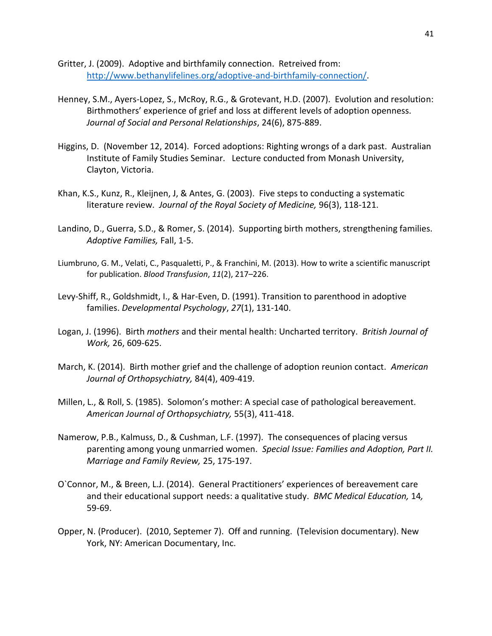Gritter, J. (2009). Adoptive and birthfamily connection. Retreived from: [http://www.bethanylifelines.org/adoptive-and-birthfamily-connection/.](http://www.bethanylifelines.org/adoptive-and-birthfamily-connection/)

- Henney, S.M., Ayers-Lopez, S., McRoy, R.G., & Grotevant, H.D. (2007). Evolution and resolution: Birthmothers' experience of grief and loss at different levels of adoption openness. *Journal of Social and Personal Relationships*, 24(6), 875-889.
- Higgins, D. (November 12, 2014). Forced adoptions: Righting wrongs of a dark past. Australian Institute of Family Studies Seminar. Lecture conducted from Monash University, Clayton, Victoria.
- Khan, K.S., Kunz, R., Kleijnen, J, & Antes, G. (2003). Five steps to conducting a systematic literature review. *Journal of the Royal Society of Medicine,* 96(3), 118-121.
- Landino, D., Guerra, S.D., & Romer, S. (2014). Supporting birth mothers, strengthening families. *Adoptive Families,* Fall, 1-5.
- Liumbruno, G. M., Velati, C., Pasqualetti, P., & Franchini, M. (2013). How to write a scientific manuscript for publication. *Blood Transfusion*, *11*(2), 217–226.
- Levy-Shiff, R., Goldshmidt, I., & Har-Even, D. (1991). Transition to parenthood in adoptive families. *Developmental Psychology*, *27*(1), 131-140.
- Logan, J. (1996). Birth *mothers* and their mental health: Uncharted territory. *British Journal of Work,* 26, 609-625.
- March, K. (2014). Birth mother grief and the challenge of adoption reunion contact. *American Journal of Orthopsychiatry,* 84(4), 409-419.
- Millen, L., & Roll, S. (1985). Solomon's mother: A special case of pathological bereavement. *American Journal of Orthopsychiatry,* 55(3), 411-418.
- Namerow, P.B., Kalmuss, D., & Cushman, L.F. (1997). The consequences of placing versus parenting among young unmarried women. *Special Issue: Families and Adoption, Part II. Marriage and Family Review,* 25, 175-197.
- O`Connor, M., & Breen, L.J. (2014). General Practitioners' experiences of bereavement care and their educational support needs: a qualitative study. *BMC Medical Education,* 14*,* 59-69.
- Opper, N. (Producer). (2010, Septemer 7). Off and running. (Television documentary). New York, NY: American Documentary, Inc.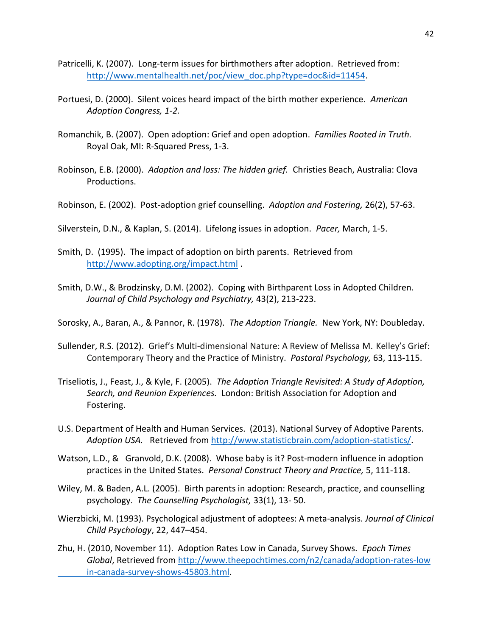- Patricelli, K. (2007). Long-term issues for birthmothers after adoption. Retrieved from: [http://www.mentalhealth.net/poc/view\\_doc.php?type=doc&id=11454.](http://www.mentalhealth.net/poc/view_doc.php?type=doc&id=11454)
- Portuesi, D. (2000). Silent voices heard impact of the birth mother experience. *American Adoption Congress, 1-2.*
- Romanchik, B. (2007). Open adoption: Grief and open adoption. *Families Rooted in Truth.* Royal Oak, MI: R-Squared Press, 1-3.
- Robinson, E.B. (2000). *Adoption and loss: The hidden grief.* Christies Beach, Australia: Clova Productions.
- Robinson, E. (2002). Post-adoption grief counselling. *Adoption and Fostering,* 26(2), 57-63.
- Silverstein, D.N., & Kaplan, S. (2014). Lifelong issues in adoption. *Pacer,* March, 1-5.
- Smith, D. (1995). The impact of adoption on birth parents. Retrieved from <http://www.adopting.org/impact.html>.
- Smith, D.W., & Brodzinsky, D.M. (2002). Coping with Birthparent Loss in Adopted Children. *Journal of Child Psychology and Psychiatry,* 43(2), 213-223.
- Sorosky, A., Baran, A., & Pannor, R. (1978). *The Adoption Triangle.* New York, NY: Doubleday.
- Sullender, R.S. (2012). Grief's Multi-dimensional Nature: A Review of Melissa M. Kelley's Grief: Contemporary Theory and the Practice of Ministry. *Pastoral Psychology,* 63, 113-115.
- Triseliotis, J., Feast, J., & Kyle, F. (2005). *The Adoption Triangle Revisited: A Study of Adoption, Search, and Reunion Experiences.* London: British Association for Adoption and Fostering.
- U.S. Department of Health and Human Services. (2013). National Survey of Adoptive Parents. *Adoption USA.* Retrieved from [http://www.statisticbrain.com/adoption-statistics/.](http://www.statisticbrain.com/adoption-statistics/)
- Watson, L.D., & Granvold, D.K. (2008). Whose baby is it? Post-modern influence in adoption practices in the United States. *Personal Construct Theory and Practice,* 5, 111-118.
- Wiley, M. & Baden, A.L. (2005). Birth parents in adoption: Research, practice, and counselling psychology. *The Counselling Psychologist,* 33(1), 13- 50.
- Wierzbicki, M. (1993). Psychological adjustment of adoptees: A meta-analysis. *Journal of Clinical Child Psychology*, 22, 447–454.
- Zhu, H. (2010, November 11). Adoption Rates Low in Canada, Survey Shows. *Epoch Times Global*, Retrieved from [http://www.theepochtimes.com/n2/canada/adoption-rates-low](http://www.theepochtimes.com/n2/canada/adoption-rates-low%09in-canada-survey-shows-45803.html) [in-canada-survey-shows-45803.html.](http://www.theepochtimes.com/n2/canada/adoption-rates-low%09in-canada-survey-shows-45803.html)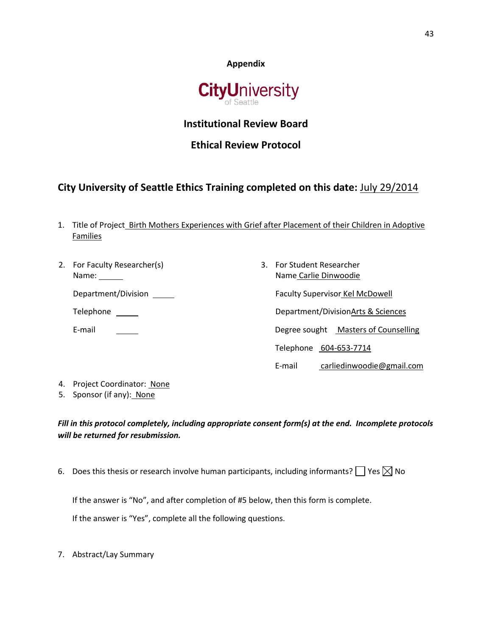



## **Institutional Review Board**

# **Ethical Review Protocol**

# **City University of Seattle Ethics Training completed on this date:** July 29/2014

- 1. Title of Project\_Birth Mothers Experiences with Grief after Placement of their Children in Adoptive Families
- 2. For Faculty Researcher(s) Name:

Department/Division

Telephone \_\_\_\_\_\_

E-mail

3. For Student Researcher Name Carlie Dinwoodie Faculty Supervisor Kel McDowell Department/DivisionArts & Sciences Degree sought Masters of Counselling Telephone 604-653-7714 E-mail carliedinwoodie@gmail.com

- 4. Project Coordinator: None
- 5. Sponsor (if any): None

*Fill in this protocol completely, including appropriate consent form(s) at the end. Incomplete protocols will be returned for resubmission.*

6. Does this thesis or research involve human participants, including informants?  $\Box$  Yes  $\boxtimes$  No

If the answer is "No", and after completion of #5 below, then this form is complete.

If the answer is "Yes", complete all the following questions.

7. Abstract/Lay Summary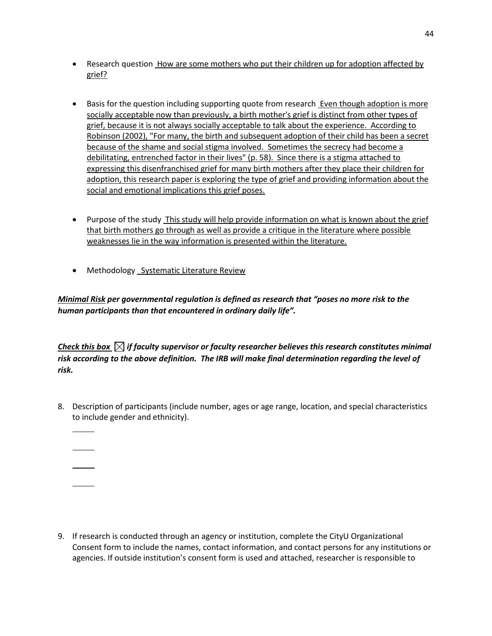- Research question How are some mothers who put their children up for adoption affected by grief?
- Basis for the question including supporting quote from research Even though adoption is more socially acceptable now than previously, a birth mother's grief is distinct from other types of grief, because it is not always socially acceptable to talk about the experience. According to Robinson (2002), "For many, the birth and subsequent adoption of their child has been a secret because of the shame and social stigma involved. Sometimes the secrecy had become a debilitating, entrenched factor in their lives" (p. 58). Since there is a stigma attached to expressing this disenfranchised grief for many birth mothers after they place their children for adoption, this research paper is exploring the type of grief and providing information about the social and emotional implications this grief poses.
- Purpose of the study This study will help provide information on what is known about the grief that birth mothers go through as well as provide a critique in the literature where possible weaknesses lie in the way information is presented within the literature.
- Methodology Systematic Literature Review

*Minimal Risk per governmental regulation is defined as research that "poses no more risk to the human participants than that encountered in ordinary daily life".* 

*Check this box*  $\boxtimes$  *if faculty supervisor or faculty researcher believes this research constitutes minimal risk according to the above definition. The IRB will make final determination regarding the level of risk.*

- 8. Description of participants (include number, ages or age range, location, and special characteristics to include gender and ethnicity).
	-
	-
- 9. If research is conducted through an agency or institution, complete the CityU Organizational Consent form to include the names, contact information, and contact persons for any institutions or agencies. If outside institution's consent form is used and attached, researcher is responsible to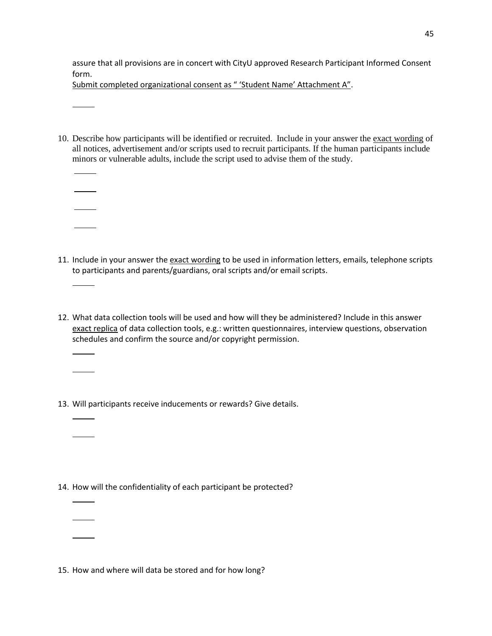assure that all provisions are in concert with CityU approved Research Participant Informed Consent form.

Submit completed organizational consent as " 'Student Name' Attachment A".

10. Describe how participants will be identified or recruited. Include in your answer the exact wording of all notices, advertisement and/or scripts used to recruit participants. If the human participants include minors or vulnerable adults, include the script used to advise them of the study.

- 11. Include in your answer the exact wording to be used in information letters, emails, telephone scripts to participants and parents/guardians, oral scripts and/or email scripts.
- 12. What data collection tools will be used and how will they be administered? Include in this answer exact replica of data collection tools, e.g.: written questionnaires, interview questions, observation schedules and confirm the source and/or copyright permission.
- 13. Will participants receive inducements or rewards? Give details.

14. How will the confidentiality of each participant be protected?

15. How and where will data be stored and for how long?